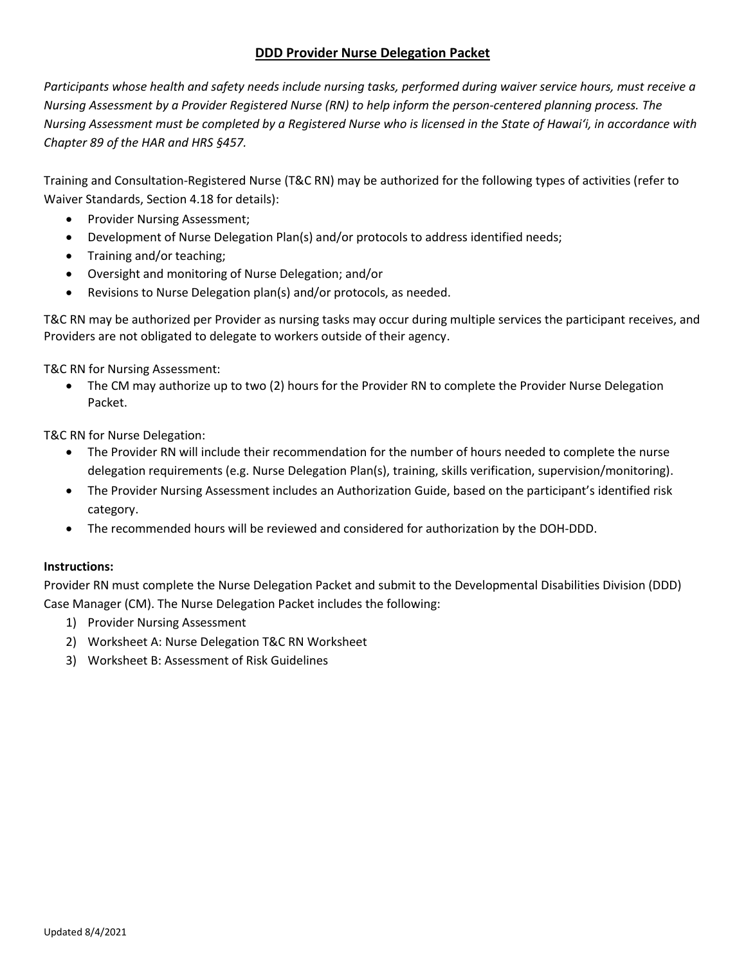## **DDD Provider Nurse Delegation Packet**

*Participants whose health and safety needs include nursing tasks, performed during waiver service hours, must receive a Nursing Assessment by a Provider Registered Nurse (RN) to help inform the person-centered planning process. The Nursing Assessment must be completed by a Registered Nurse who is licensed in the State of Hawai'i, in accordance with Chapter 89 of the HAR and HRS §457.*

Training and Consultation-Registered Nurse (T&C RN) may be authorized for the following types of activities (refer to Waiver Standards, Section 4.18 for details):

- Provider Nursing Assessment;
- Development of Nurse Delegation Plan(s) and/or protocols to address identified needs;
- Training and/or teaching;
- Oversight and monitoring of Nurse Delegation; and/or
- Revisions to Nurse Delegation plan(s) and/or protocols, as needed.

T&C RN may be authorized per Provider as nursing tasks may occur during multiple services the participant receives, and Providers are not obligated to delegate to workers outside of their agency.

T&C RN for Nursing Assessment:

• The CM may authorize up to two (2) hours for the Provider RN to complete the Provider Nurse Delegation Packet.

T&C RN for Nurse Delegation:

- The Provider RN will include their recommendation for the number of hours needed to complete the nurse delegation requirements (e.g. Nurse Delegation Plan(s), training, skills verification, supervision/monitoring).
- The Provider Nursing Assessment includes an Authorization Guide, based on the participant's identified risk category.
- The recommended hours will be reviewed and considered for authorization by the DOH-DDD.

#### **Instructions:**

Provider RN must complete the Nurse Delegation Packet and submit to the Developmental Disabilities Division (DDD) Case Manager (CM). The Nurse Delegation Packet includes the following:

- 1) Provider Nursing Assessment
- 2) Worksheet A: Nurse Delegation T&C RN Worksheet
- 3) Worksheet B: Assessment of Risk Guidelines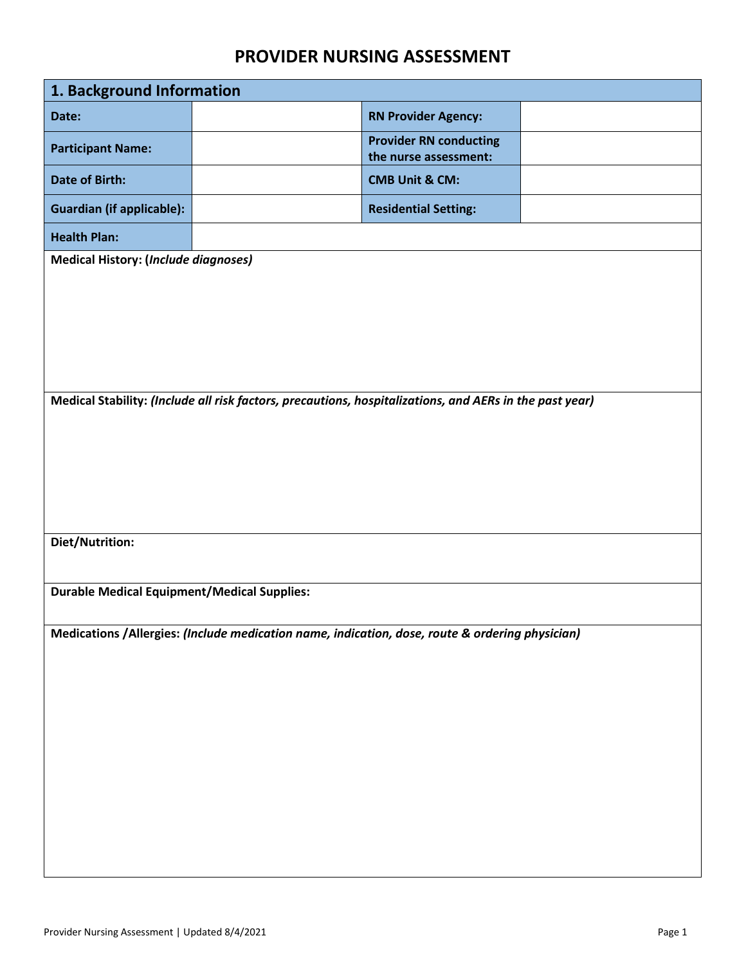# **PROVIDER NURSING ASSESSMENT**

| 1. Background Information                                                                               |                                                                                                  |                                                        |  |  |
|---------------------------------------------------------------------------------------------------------|--------------------------------------------------------------------------------------------------|--------------------------------------------------------|--|--|
| Date:                                                                                                   |                                                                                                  | <b>RN Provider Agency:</b>                             |  |  |
| <b>Participant Name:</b>                                                                                |                                                                                                  | <b>Provider RN conducting</b><br>the nurse assessment: |  |  |
| <b>Date of Birth:</b>                                                                                   |                                                                                                  | <b>CMB Unit &amp; CM:</b>                              |  |  |
| <b>Guardian (if applicable):</b>                                                                        |                                                                                                  | <b>Residential Setting:</b>                            |  |  |
| <b>Health Plan:</b>                                                                                     |                                                                                                  |                                                        |  |  |
| <b>Medical History: (Include diagnoses)</b>                                                             |                                                                                                  |                                                        |  |  |
| Medical Stability: (Include all risk factors, precautions, hospitalizations, and AERs in the past year) |                                                                                                  |                                                        |  |  |
| <b>Diet/Nutrition:</b>                                                                                  |                                                                                                  |                                                        |  |  |
| <b>Durable Medical Equipment/Medical Supplies:</b>                                                      |                                                                                                  |                                                        |  |  |
|                                                                                                         | Medications / Allergies: (Include medication name, indication, dose, route & ordering physician) |                                                        |  |  |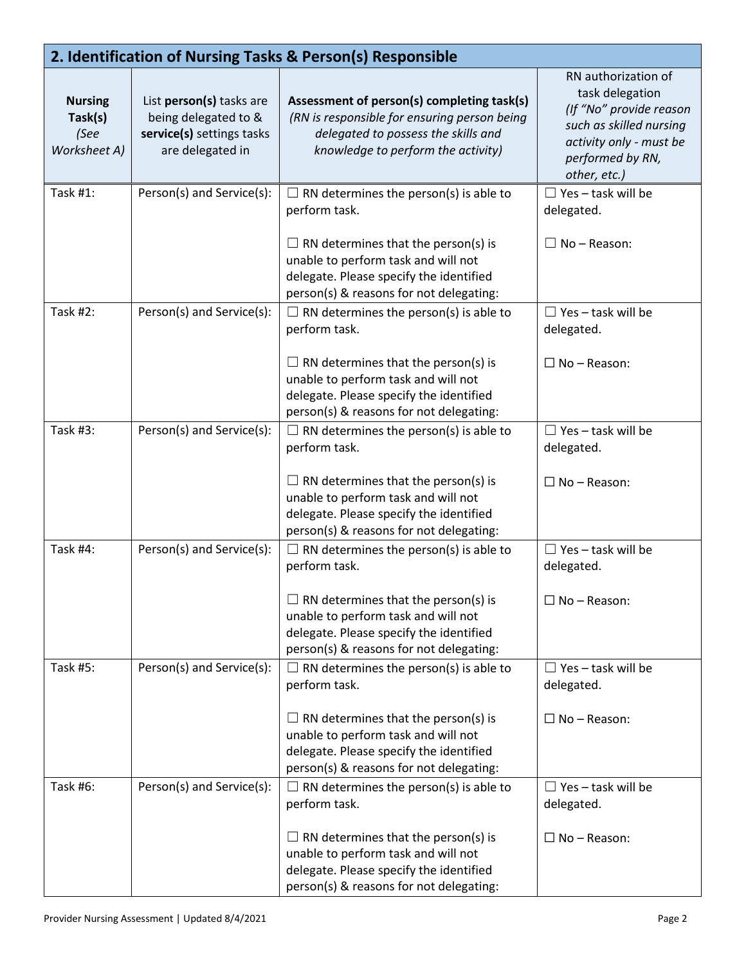| 2. Identification of Nursing Tasks & Person(s) Responsible |                                                                                                   |                                                                                                                                                                                                                                           |                                                                                                                                                             |  |  |
|------------------------------------------------------------|---------------------------------------------------------------------------------------------------|-------------------------------------------------------------------------------------------------------------------------------------------------------------------------------------------------------------------------------------------|-------------------------------------------------------------------------------------------------------------------------------------------------------------|--|--|
| <b>Nursing</b><br>Task(s)<br>(See<br>Worksheet A)          | List person(s) tasks are<br>being delegated to &<br>service(s) settings tasks<br>are delegated in | Assessment of person(s) completing task(s)<br>(RN is responsible for ensuring person being<br>delegated to possess the skills and<br>knowledge to perform the activity)                                                                   | RN authorization of<br>task delegation<br>(If "No" provide reason<br>such as skilled nursing<br>activity only - must be<br>performed by RN,<br>other, etc.) |  |  |
| Task #1:                                                   | Person(s) and Service(s):                                                                         | $\Box$ RN determines the person(s) is able to<br>perform task.<br>$\Box$ RN determines that the person(s) is<br>unable to perform task and will not                                                                                       | $\Box$ Yes - task will be<br>delegated.<br>$\Box$ No - Reason:                                                                                              |  |  |
|                                                            |                                                                                                   | delegate. Please specify the identified<br>person(s) & reasons for not delegating:                                                                                                                                                        |                                                                                                                                                             |  |  |
| <b>Task #2:</b>                                            | Person(s) and Service(s):                                                                         | $\Box$ RN determines the person(s) is able to<br>perform task.<br>$\Box$ RN determines that the person(s) is<br>unable to perform task and will not<br>delegate. Please specify the identified<br>person(s) & reasons for not delegating: | $\Box$ Yes - task will be<br>delegated.<br>$\square$ No - Reason:                                                                                           |  |  |
| Task #3:                                                   | Person(s) and Service(s):                                                                         | $\Box$ RN determines the person(s) is able to<br>perform task.<br>$\Box$ RN determines that the person(s) is<br>unable to perform task and will not<br>delegate. Please specify the identified<br>person(s) & reasons for not delegating: | $\Box$ Yes - task will be<br>delegated.<br>$\Box$ No - Reason:                                                                                              |  |  |
| Task #4:                                                   | Person(s) and Service(s):                                                                         | $\Box$ RN determines the person(s) is able to<br>perform task.<br>$\Box$ RN determines that the person(s) is<br>unable to perform task and will not<br>delegate. Please specify the identified<br>person(s) & reasons for not delegating: | $\Box$ Yes - task will be<br>delegated.<br>$\Box$ No - Reason:                                                                                              |  |  |
| <b>Task #5:</b>                                            | Person(s) and Service(s):                                                                         | $\Box$ RN determines the person(s) is able to<br>perform task.<br>$\Box$ RN determines that the person(s) is<br>unable to perform task and will not<br>delegate. Please specify the identified<br>person(s) & reasons for not delegating: | $\Box$ Yes - task will be<br>delegated.<br>$\square$ No - Reason:                                                                                           |  |  |
| Task #6:                                                   | Person(s) and Service(s):                                                                         | $\Box$ RN determines the person(s) is able to<br>perform task.<br>$\Box$ RN determines that the person(s) is<br>unable to perform task and will not<br>delegate. Please specify the identified<br>person(s) & reasons for not delegating: | $\Box$ Yes - task will be<br>delegated.<br>$\Box$ No – Reason:                                                                                              |  |  |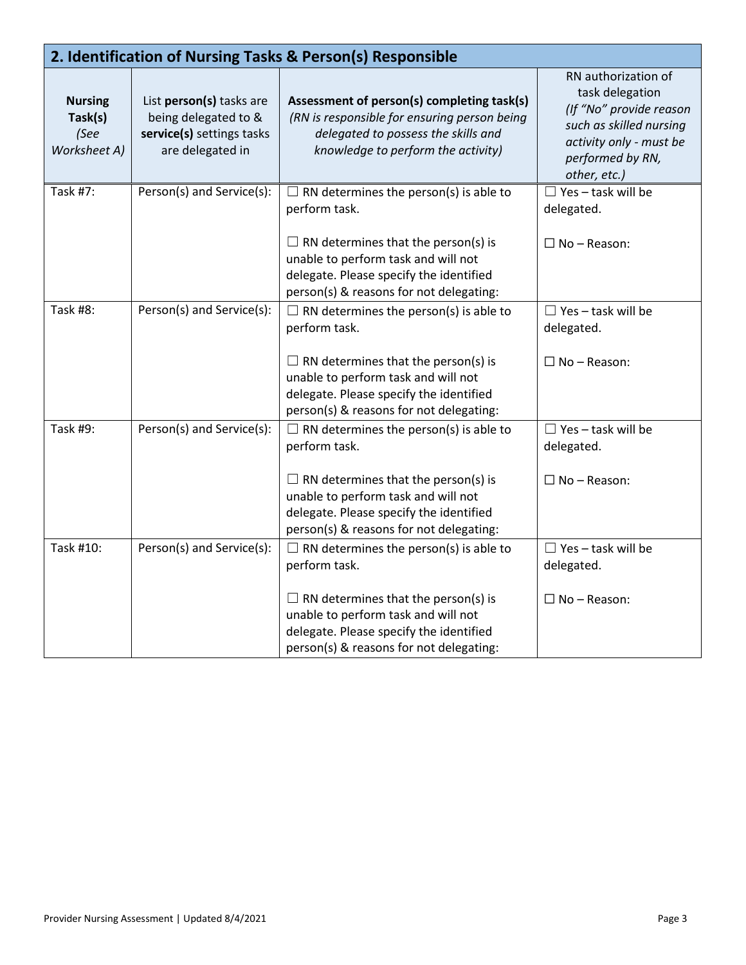| 2. Identification of Nursing Tasks & Person(s) Responsible |                                                                                                   |                                                                                                                                                                         |                                                                                                                                                             |  |  |
|------------------------------------------------------------|---------------------------------------------------------------------------------------------------|-------------------------------------------------------------------------------------------------------------------------------------------------------------------------|-------------------------------------------------------------------------------------------------------------------------------------------------------------|--|--|
| <b>Nursing</b><br>Task(s)<br>(See<br>Worksheet A)          | List person(s) tasks are<br>being delegated to &<br>service(s) settings tasks<br>are delegated in | Assessment of person(s) completing task(s)<br>(RN is responsible for ensuring person being<br>delegated to possess the skills and<br>knowledge to perform the activity) | RN authorization of<br>task delegation<br>(If "No" provide reason<br>such as skilled nursing<br>activity only - must be<br>performed by RN,<br>other, etc.) |  |  |
| Task #7:                                                   | Person(s) and Service(s):                                                                         | $\Box$ RN determines the person(s) is able to<br>perform task.                                                                                                          | $\Box$ Yes - task will be<br>delegated.                                                                                                                     |  |  |
|                                                            |                                                                                                   | $\Box$ RN determines that the person(s) is<br>unable to perform task and will not<br>delegate. Please specify the identified<br>person(s) & reasons for not delegating: | $\Box$ No - Reason:                                                                                                                                         |  |  |
| Task #8:                                                   | Person(s) and Service(s):                                                                         | $\Box$ RN determines the person(s) is able to<br>perform task.                                                                                                          | $\Box$ Yes - task will be<br>delegated.                                                                                                                     |  |  |
|                                                            |                                                                                                   | $\Box$ RN determines that the person(s) is<br>unable to perform task and will not<br>delegate. Please specify the identified<br>person(s) & reasons for not delegating: | $\Box$ No - Reason:                                                                                                                                         |  |  |
| Task #9:                                                   | Person(s) and Service(s):                                                                         | $\Box$ RN determines the person(s) is able to<br>perform task.                                                                                                          | $\Box$ Yes - task will be<br>delegated.                                                                                                                     |  |  |
|                                                            |                                                                                                   | $\Box$ RN determines that the person(s) is<br>unable to perform task and will not<br>delegate. Please specify the identified<br>person(s) & reasons for not delegating: | $\Box$ No - Reason:                                                                                                                                         |  |  |
| Task #10:                                                  | Person(s) and Service(s):                                                                         | $\Box$ RN determines the person(s) is able to<br>perform task.                                                                                                          | $\Box$ Yes - task will be<br>delegated.                                                                                                                     |  |  |
|                                                            |                                                                                                   | $\Box$ RN determines that the person(s) is<br>unable to perform task and will not<br>delegate. Please specify the identified<br>person(s) & reasons for not delegating: | $\Box$ No - Reason:                                                                                                                                         |  |  |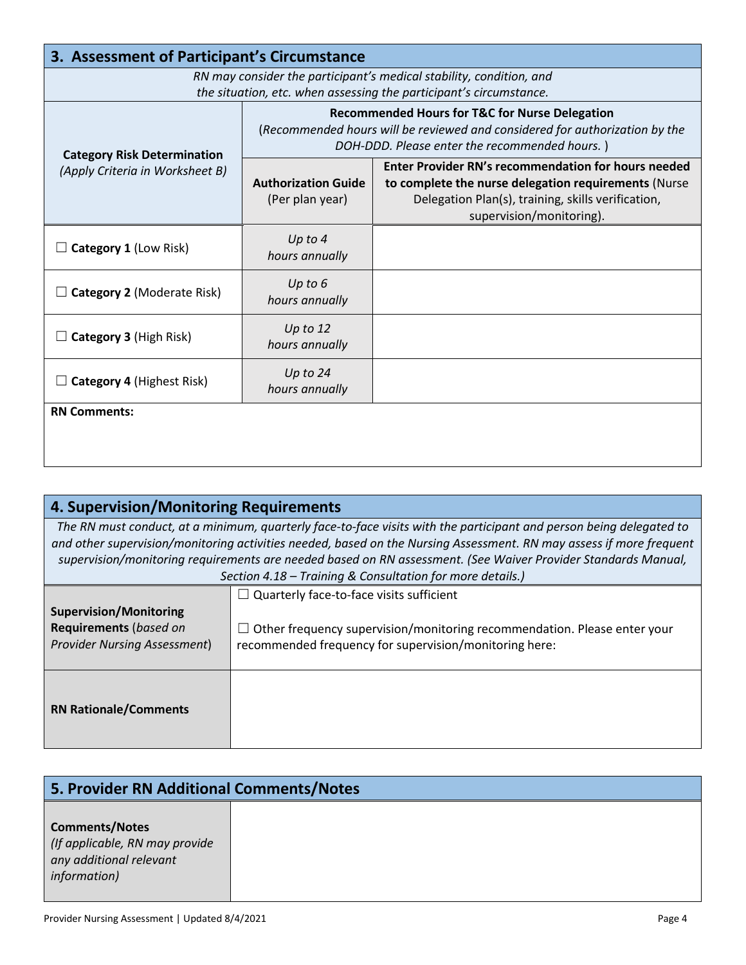| 3. Assessment of Participant's Circumstance |                                                                                                                                                                                                                                                |                                                                                                                                                                                           |  |  |  |
|---------------------------------------------|------------------------------------------------------------------------------------------------------------------------------------------------------------------------------------------------------------------------------------------------|-------------------------------------------------------------------------------------------------------------------------------------------------------------------------------------------|--|--|--|
|                                             |                                                                                                                                                                                                                                                | RN may consider the participant's medical stability, condition, and<br>the situation, etc. when assessing the participant's circumstance.                                                 |  |  |  |
| <b>Category Risk Determination</b>          |                                                                                                                                                                                                                                                | <b>Recommended Hours for T&amp;C for Nurse Delegation</b><br>(Recommended hours will be reviewed and considered for authorization by the<br>DOH-DDD. Please enter the recommended hours.) |  |  |  |
| (Apply Criteria in Worksheet B)             | Enter Provider RN's recommendation for hours needed<br><b>Authorization Guide</b><br>to complete the nurse delegation requirements (Nurse<br>(Per plan year)<br>Delegation Plan(s), training, skills verification,<br>supervision/monitoring). |                                                                                                                                                                                           |  |  |  |
| $\Box$ Category 1 (Low Risk)                | Up to 4<br>hours annually                                                                                                                                                                                                                      |                                                                                                                                                                                           |  |  |  |
| Category 2 (Moderate Risk)                  | Up to 6<br>hours annually                                                                                                                                                                                                                      |                                                                                                                                                                                           |  |  |  |
| <b>Category 3 (High Risk)</b>               | Up to $12$<br>hours annually                                                                                                                                                                                                                   |                                                                                                                                                                                           |  |  |  |
| <b>Category 4 (Highest Risk)</b>            | Up to $24$<br>hours annually                                                                                                                                                                                                                   |                                                                                                                                                                                           |  |  |  |
| <b>RN Comments:</b>                         |                                                                                                                                                                                                                                                |                                                                                                                                                                                           |  |  |  |

| 4. Supervision/Monitoring Requirements                                                                                                                                                                                                                                                                                                                                                                                   |                                                                                                                                                                                     |  |  |  |  |
|--------------------------------------------------------------------------------------------------------------------------------------------------------------------------------------------------------------------------------------------------------------------------------------------------------------------------------------------------------------------------------------------------------------------------|-------------------------------------------------------------------------------------------------------------------------------------------------------------------------------------|--|--|--|--|
| The RN must conduct, at a minimum, quarterly face-to-face visits with the participant and person being delegated to<br>and other supervision/monitoring activities needed, based on the Nursing Assessment. RN may assess if more frequent<br>supervision/monitoring requirements are needed based on RN assessment. (See Waiver Provider Standards Manual,<br>Section 4.18 – Training & Consultation for more details.) |                                                                                                                                                                                     |  |  |  |  |
| <b>Supervision/Monitoring</b><br>Requirements (based on<br><b>Provider Nursing Assessment)</b>                                                                                                                                                                                                                                                                                                                           | Quarterly face-to-face visits sufficient<br>ш<br>Other frequency supervision/monitoring recommendation. Please enter your<br>recommended frequency for supervision/monitoring here: |  |  |  |  |
| <b>RN Rationale/Comments</b>                                                                                                                                                                                                                                                                                                                                                                                             |                                                                                                                                                                                     |  |  |  |  |

| 5. Provider RN Additional Comments/Notes                                                           |  |  |  |  |
|----------------------------------------------------------------------------------------------------|--|--|--|--|
| <b>Comments/Notes</b><br>(If applicable, RN may provide<br>any additional relevant<br>information) |  |  |  |  |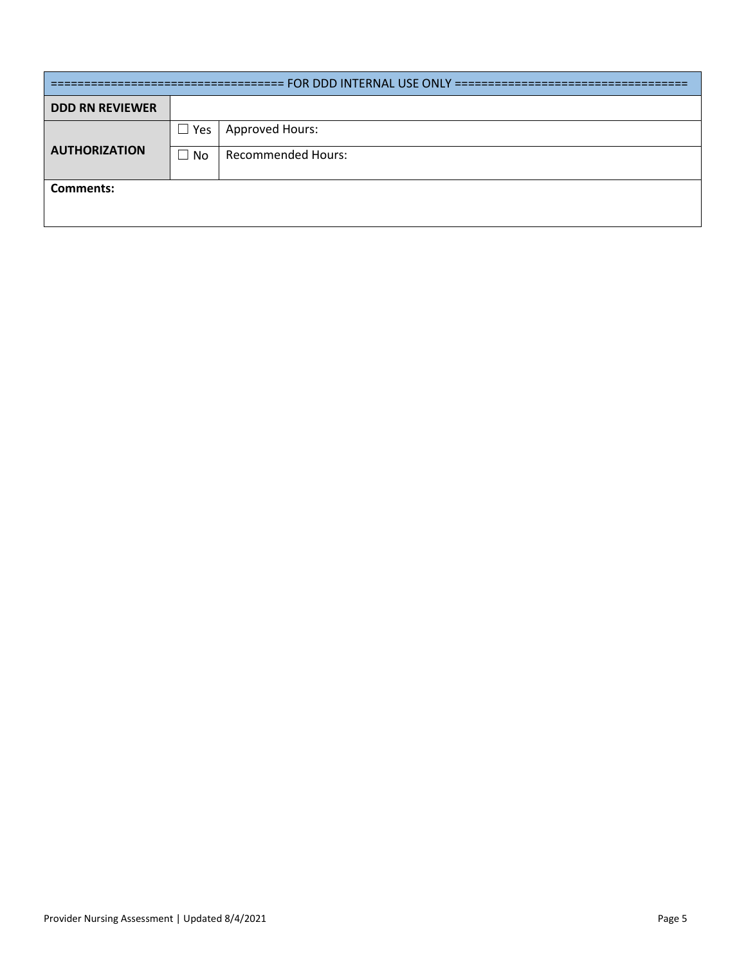| :======================= FOR DDD INTERNAL USE ONLY ============================ |            |                           |  |  |
|---------------------------------------------------------------------------------|------------|---------------------------|--|--|
| <b>DDD RN REVIEWER</b>                                                          |            |                           |  |  |
|                                                                                 | $\Box$ Yes | <b>Approved Hours:</b>    |  |  |
| <b>AUTHORIZATION</b>                                                            | $\Box$ No  | <b>Recommended Hours:</b> |  |  |
| <b>Comments:</b>                                                                |            |                           |  |  |
|                                                                                 |            |                           |  |  |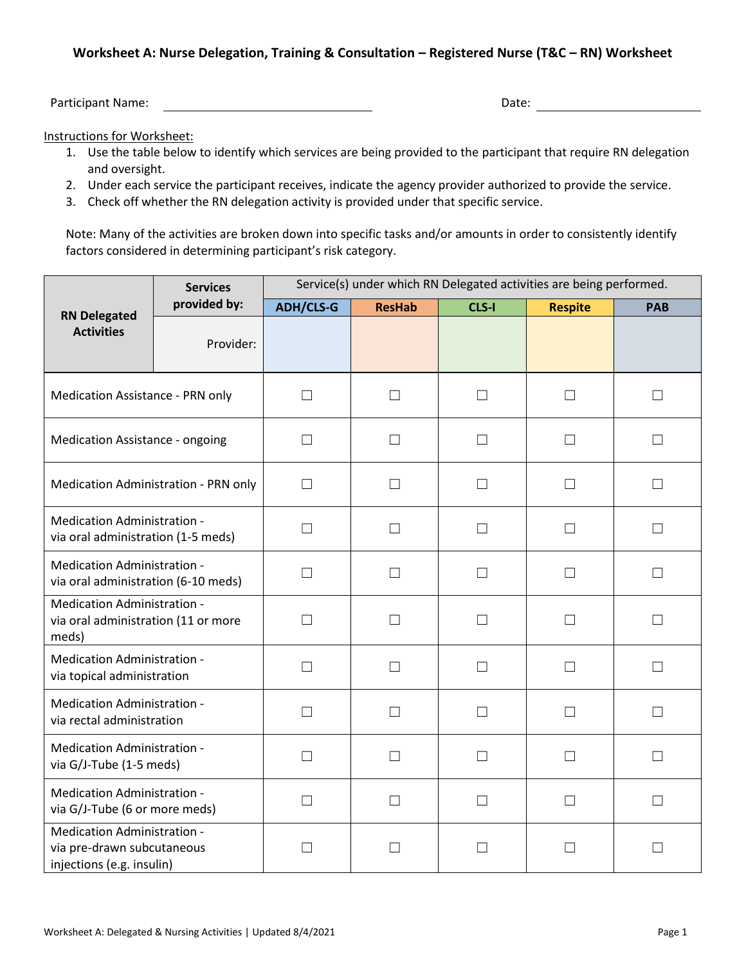## **Worksheet A: Nurse Delegation, Training & Consultation – Registered Nurse (T&C – RN) Worksheet**

Participant Name: Date:

Instructions for Worksheet:

- 1. Use the table below to identify which services are being provided to the participant that require RN delegation and oversight.
- 2. Under each service the participant receives, indicate the agency provider authorized to provide the service.
- 3. Check off whether the RN delegation activity is provided under that specific service.

Note: Many of the activities are broken down into specific tasks and/or amounts in order to consistently identify factors considered in determining participant's risk category.

|                                                                                        | <b>Services</b>                      | Service(s) under which RN Delegated activities are being performed. |                   |        |                   |              |  |
|----------------------------------------------------------------------------------------|--------------------------------------|---------------------------------------------------------------------|-------------------|--------|-------------------|--------------|--|
| <b>RN Delegated</b><br><b>Activities</b>                                               | provided by:                         | <b>ADH/CLS-G</b>                                                    | <b>ResHab</b>     | CLS-I  | <b>Respite</b>    | <b>PAB</b>   |  |
|                                                                                        | Provider:                            |                                                                     |                   |        |                   |              |  |
| Medication Assistance - PRN only                                                       |                                      | П                                                                   | П                 | $\Box$ | П                 | П            |  |
| Medication Assistance - ongoing                                                        |                                      | $\Box$                                                              | П                 | П      | $\Box$            | П            |  |
|                                                                                        | Medication Administration - PRN only | П                                                                   | П                 | $\Box$ | $\Box$            | П            |  |
| <b>Medication Administration -</b><br>via oral administration (1-5 meds)               |                                      | П                                                                   | П                 | $\Box$ | $\Box$            | П            |  |
| Medication Administration -<br>via oral administration (6-10 meds)                     |                                      | П                                                                   | $\vdash$          | П      | П                 | $\mathsf{L}$ |  |
| Medication Administration -<br>via oral administration (11 or more<br>meds)            |                                      | П                                                                   | П                 | П      | П                 | П            |  |
| <b>Medication Administration -</b><br>via topical administration                       |                                      | $\Box$                                                              | $\Box$            | $\Box$ | $\Box$            | П            |  |
| <b>Medication Administration -</b><br>via rectal administration                        |                                      | П                                                                   | П                 | $\Box$ | П                 | П            |  |
| Medication Administration -<br>via G/J-Tube (1-5 meds)                                 |                                      | П                                                                   | $\Box$            | $\Box$ | $\Box$            | $\Box$       |  |
| Medication Administration -<br>via G/J-Tube (6 or more meds)                           |                                      | $\Box$                                                              | П                 | $\Box$ | $\Box$            | $\Box$       |  |
| Medication Administration -<br>via pre-drawn subcutaneous<br>injections (e.g. insulin) |                                      | $\overline{\phantom{a}}$                                            | $\vert \ \ \vert$ | $\Box$ | $\vert \ \ \vert$ | $\mathsf{L}$ |  |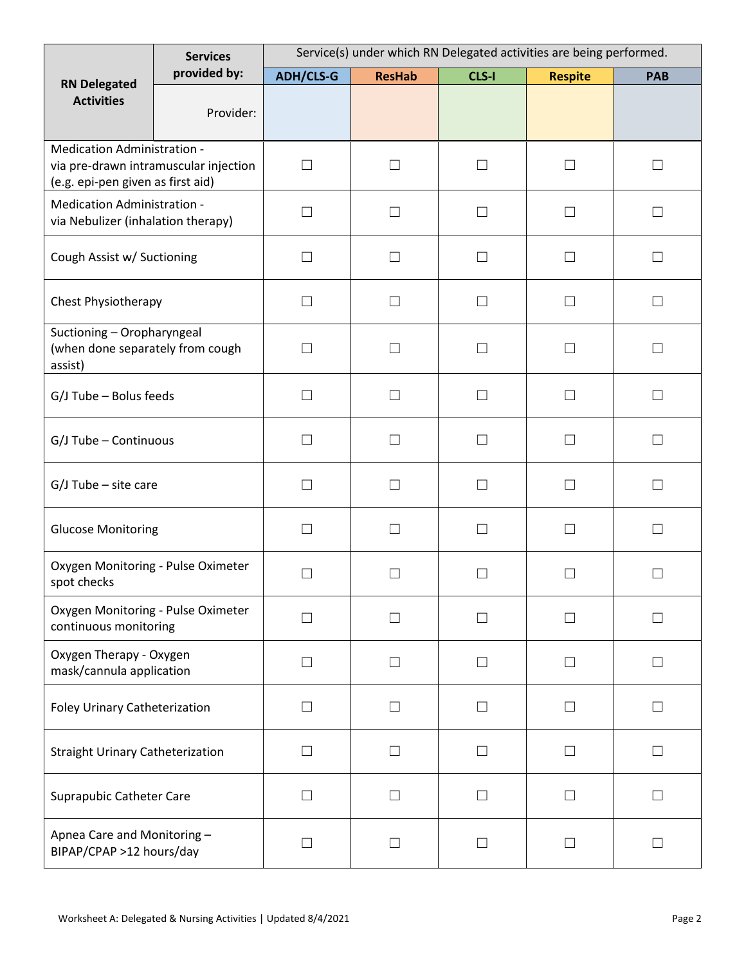|                                                                                                           | <b>Services</b> | Service(s) under which RN Delegated activities are being performed. |                   |                   |                   |                          |
|-----------------------------------------------------------------------------------------------------------|-----------------|---------------------------------------------------------------------|-------------------|-------------------|-------------------|--------------------------|
| <b>RN Delegated</b>                                                                                       | provided by:    | <b>ADH/CLS-G</b>                                                    | <b>ResHab</b>     | CLS-I             | <b>Respite</b>    | <b>PAB</b>               |
| <b>Activities</b>                                                                                         | Provider:       |                                                                     |                   |                   |                   |                          |
| Medication Administration -<br>via pre-drawn intramuscular injection<br>(e.g. epi-pen given as first aid) |                 | П                                                                   | $\vert \ \ \vert$ | $\Box$            | $\Box$            | $\mathsf{L}$             |
| Medication Administration -<br>via Nebulizer (inhalation therapy)                                         |                 |                                                                     | $\Box$            | П                 | П                 | $\overline{\phantom{a}}$ |
| Cough Assist w/ Suctioning                                                                                |                 |                                                                     |                   | $\vert \ \ \vert$ | ΓI                |                          |
| Chest Physiotherapy                                                                                       |                 | $\vert \ \ \vert$                                                   | $\vert \ \ \vert$ | $\Box$            | $\vert \ \ \vert$ | $\Box$                   |
| Suctioning - Oropharyngeal<br>(when done separately from cough<br>assist)                                 |                 | $\vert \ \ \vert$                                                   | $\Box$            | $\Box$            | $\Box$            | $\mathsf{L}$             |
| G/J Tube - Bolus feeds                                                                                    |                 | $\Box$                                                              | $\vert \ \ \vert$ | П                 | $\Box$            | $\Box$                   |
| G/J Tube - Continuous                                                                                     |                 | $\Box$                                                              | $\vert \ \ \vert$ | $\Box$            | $\Box$            | $\overline{\phantom{a}}$ |
| $G/J$ Tube - site care                                                                                    |                 | $\vert \ \ \vert$                                                   | $\vert \ \ \vert$ | П                 | $\Box$            | $\overline{\phantom{a}}$ |
| <b>Glucose Monitoring</b>                                                                                 |                 | П                                                                   | П                 | П                 | $\Box$            | $\vert \ \ \vert$        |
| Oxygen Monitoring - Pulse Oximeter<br>spot checks                                                         |                 | $\vert \ \ \vert$                                                   | ГΙ                | $\vert \ \ \vert$ | $\vert \ \ \vert$ | $\mathcal{L}$            |
| Oxygen Monitoring - Pulse Oximeter<br>continuous monitoring                                               |                 | П                                                                   | П                 | П                 | П                 | П                        |
| Oxygen Therapy - Oxygen<br>mask/cannula application                                                       |                 | П                                                                   | П                 | $\Box$            | П                 | П                        |
| <b>Foley Urinary Catheterization</b>                                                                      |                 | $\Box$                                                              | $\Box$            | $\Box$            | $\Box$            | $\Box$                   |
| <b>Straight Urinary Catheterization</b>                                                                   |                 | П                                                                   | П                 | П                 | П                 | $\Box$                   |
| Suprapubic Catheter Care                                                                                  |                 | $\Box$                                                              | П                 | П                 | $\Box$            | П                        |
| Apnea Care and Monitoring -<br>BIPAP/CPAP >12 hours/day                                                   |                 | $\Box$                                                              | $\vert \ \ \vert$ | $\Box$            | $\Box$            | $\mathbf{I}$             |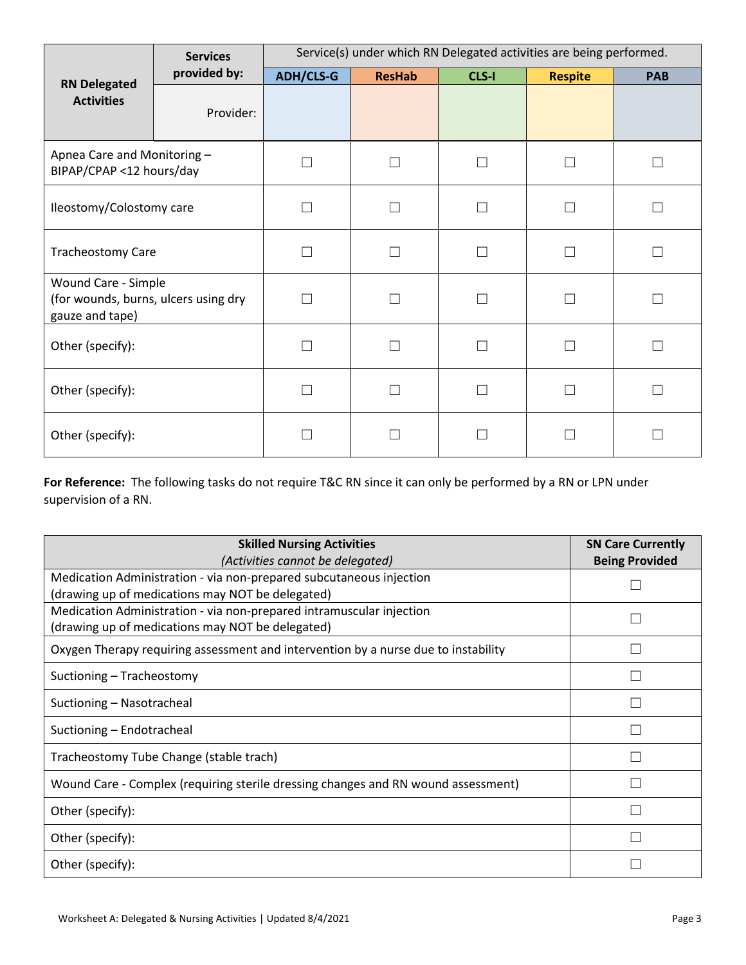|                                                                                | <b>Services</b> | Service(s) under which RN Delegated activities are being performed. |                   |       |                |            |
|--------------------------------------------------------------------------------|-----------------|---------------------------------------------------------------------|-------------------|-------|----------------|------------|
| <b>RN Delegated</b><br><b>Activities</b>                                       | provided by:    | <b>ADH/CLS-G</b>                                                    | <b>ResHab</b>     | CLS-I | <b>Respite</b> | <b>PAB</b> |
|                                                                                | Provider:       |                                                                     |                   |       |                |            |
| Apnea Care and Monitoring -<br>BIPAP/CPAP <12 hours/day                        |                 |                                                                     | $\vert \ \ \vert$ |       |                |            |
| Ileostomy/Colostomy care                                                       |                 |                                                                     | $\mathcal{L}$     |       |                |            |
| <b>Tracheostomy Care</b>                                                       |                 | П                                                                   | П                 |       |                |            |
| Wound Care - Simple<br>(for wounds, burns, ulcers using dry<br>gauze and tape) |                 | П                                                                   | П                 |       |                |            |
| Other (specify):                                                               |                 | П                                                                   | П                 |       |                |            |
| Other (specify):                                                               |                 | П                                                                   | П                 |       |                |            |
| Other (specify):                                                               |                 |                                                                     |                   |       |                |            |

**For Reference:** The following tasks do not require T&C RN since it can only be performed by a RN or LPN under supervision of a RN.

| <b>Skilled Nursing Activities</b><br>(Activities cannot be delegated)                                                    | <b>SN Care Currently</b><br><b>Being Provided</b> |
|--------------------------------------------------------------------------------------------------------------------------|---------------------------------------------------|
| Medication Administration - via non-prepared subcutaneous injection<br>(drawing up of medications may NOT be delegated)  |                                                   |
| Medication Administration - via non-prepared intramuscular injection<br>(drawing up of medications may NOT be delegated) |                                                   |
| Oxygen Therapy requiring assessment and intervention by a nurse due to instability                                       |                                                   |
| Suctioning - Tracheostomy                                                                                                |                                                   |
| Suctioning - Nasotracheal                                                                                                |                                                   |
| Suctioning - Endotracheal                                                                                                |                                                   |
| Tracheostomy Tube Change (stable trach)                                                                                  |                                                   |
| Wound Care - Complex (requiring sterile dressing changes and RN wound assessment)                                        |                                                   |
| Other (specify):                                                                                                         |                                                   |
| Other (specify):                                                                                                         |                                                   |
| Other (specify):                                                                                                         |                                                   |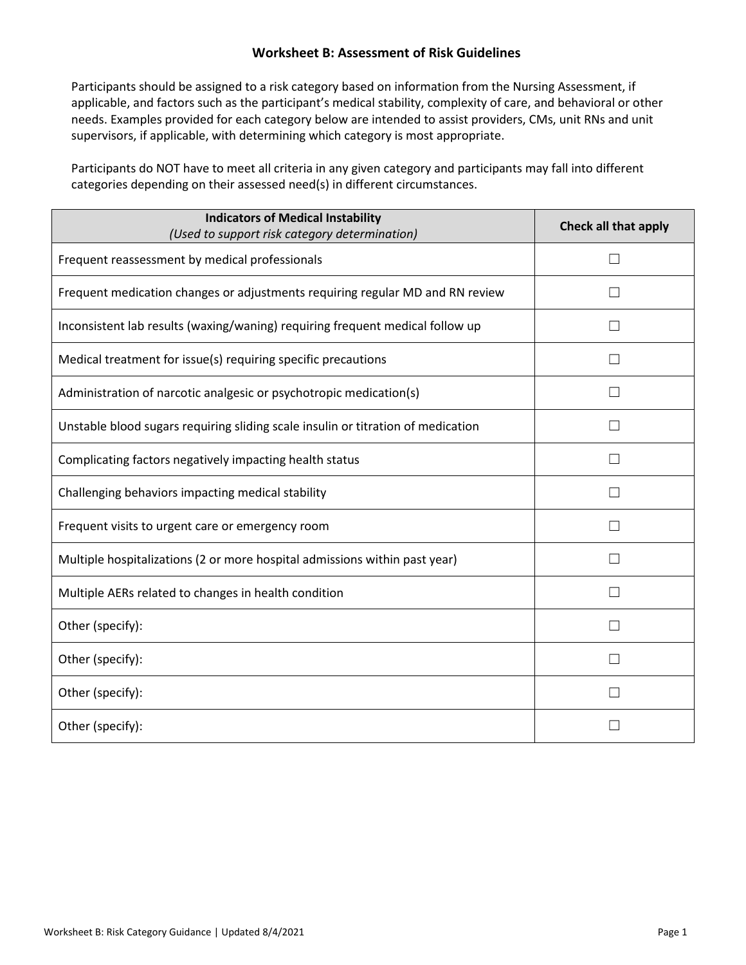### **Worksheet B: Assessment of Risk Guidelines**

Participants should be assigned to a risk category based on information from the Nursing Assessment, if applicable, and factors such as the participant's medical stability, complexity of care, and behavioral or other needs. Examples provided for each category below are intended to assist providers, CMs, unit RNs and unit supervisors, if applicable, with determining which category is most appropriate.

Participants do NOT have to meet all criteria in any given category and participants may fall into different categories depending on their assessed need(s) in different circumstances.

| <b>Indicators of Medical Instability</b><br>(Used to support risk category determination) | <b>Check all that apply</b> |
|-------------------------------------------------------------------------------------------|-----------------------------|
| Frequent reassessment by medical professionals                                            |                             |
| Frequent medication changes or adjustments requiring regular MD and RN review             |                             |
| Inconsistent lab results (waxing/waning) requiring frequent medical follow up             |                             |
| Medical treatment for issue(s) requiring specific precautions                             |                             |
| Administration of narcotic analgesic or psychotropic medication(s)                        |                             |
| Unstable blood sugars requiring sliding scale insulin or titration of medication          | H                           |
| Complicating factors negatively impacting health status                                   |                             |
| Challenging behaviors impacting medical stability                                         |                             |
| Frequent visits to urgent care or emergency room                                          | $\Box$                      |
| Multiple hospitalizations (2 or more hospital admissions within past year)                |                             |
| Multiple AERs related to changes in health condition                                      |                             |
| Other (specify):                                                                          | $\Box$                      |
| Other (specify):                                                                          |                             |
| Other (specify):                                                                          |                             |
| Other (specify):                                                                          |                             |